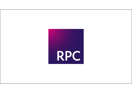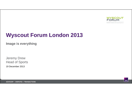

# **Wyscout Forum London 2013**

**Image is everything**

19 December 2013Jeremy Drew Head of Sports

ADVISORY | DISPUTES | TRANSACTIONS

**RPC**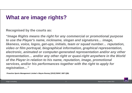# **What are image rights?**

**Recognised by the courts as:**

**"***Image Rights means the right for any commercial or promotional purpose to use the Player's name, nickname, slogan and signatures… image, likeness, voice, logos, get-ups, initials, team or squad number… reputation, video or film portrayal, biographical information, graphical representation, electronic, animated or computer-generated representation and/or any other representation… and/or any other right or quasi-right anywhere in the World of the Player in relation to his name, reputation, image, promotional services, and/or his performances together with the right to apply for registration…"*

*Proactive Sports Management Limited v Wayne Rooney* **[2010] EWHC 1807 (QB)**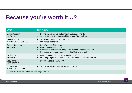### **Because you're worth it…?**

| Who?                                                     | <b>How much?</b>                                                                                                                                                                                                        |
|----------------------------------------------------------|-------------------------------------------------------------------------------------------------------------------------------------------------------------------------------------------------------------------------|
| David Beckham<br><b>LA GALAXY</b>                        | 2009 LA Galaxy paid £125 million, 80% image rights<br>$\bullet$<br>2012 UK Image Rights Co paid Beckham £14.1 million<br>$\bullet$                                                                                      |
| Wayne Rooney<br><b>MANCHESTER UNITED</b>                 | 2010 Manchester United - £760,000<br>$\bullet$<br>UK Image Rights Co<br>$\bullet$                                                                                                                                       |
| Dennis Bergkamp<br><b>ARSENAL</b>                        | 2000 Arsenal- £1.5 million<br>$\bullet$<br>Offshore Image Rights Co<br>$\bullet$<br>Licensed to intermediary company owned by Bergkamp's agent.<br>$\bullet$<br>Intermediary company sub-licensed to Club and to reebok |
| <b>David Platt</b><br><b>ARSENAL</b>                     | Offshore Image Rights Co - wound up in 1995.<br>$\bullet$<br>UK Image Rights Co - Platt and wife as directors and shareholders<br>$\bullet$                                                                             |
| Joey Barton<br><b>NEWCASTLE</b>                          | 2009 Newcastle - £675,000<br>$\bullet$                                                                                                                                                                                  |
| <b>Gareth Barry</b><br><b>MANCHESTER CITY</b>            | 2011 Manchester City - tax Savings of £135,000<br>$\bullet$                                                                                                                                                             |
| LEE ather feathellers are known to have Impas Dights Ces |                                                                                                                                                                                                                         |

….. + 55 other footballers are known to have Image Rights Cos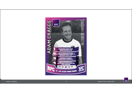

Image is everything 4 Wyscout Forum London 2013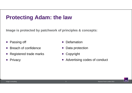## **Protecting Adam: the law**

**Image is protected by patchwork of principles & concepts:** 

- $\bullet$ Passing off
- Breach of confidence
- $\bullet$ Registered trade marks
- $\bullet$ **Privacy**
- $\bullet$ **Defamation**
- Data protection
- Copyright
- **Advertising codes of conduct**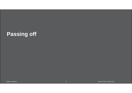# **Passing off**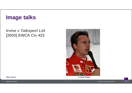### **Image talks**

#### *Irvine v Talksport Ltd* **[2003] EWCA Civ 423**



**Open source © Paddy Briggs**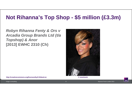# **Not Rihanna's Top Shop - \$5 million (£3.3m)**

#### *Robyn Rihanna Fenty & Ors v Arcadia Group Brands Ltd (t/a Topshop) & Anor* **[2013] EWHC 2310 (Ch)**



**http://creativecommons.org/licenses/by/2.0/deed.en © oouinouin**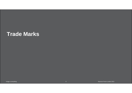### **Trade Marks**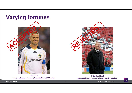

**http://creativecommons.org/licenses/by-sa/3.0/deed.en © Calebrw**



© Gordon Flood http://creativecommons.org/licenses/by/2.0/deed.en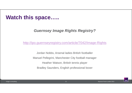#### **Watch this space…..**

#### *Guernsey Image Rights Registry?*

http://ipo.guernseyregistry.com/article/7042/Image-Rights

Jordan Nobbs, Arsenal ladies British footballer Manuel Pellegrini, Manchester City football manager Heather Watson, British tennis player Bradley Saunders, English professional boxer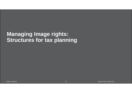#### **Managing Image rights: Structures for tax planning**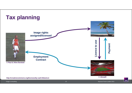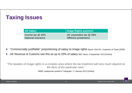# **Taxing Issues**

| UK Salary          | Image Rights payment          |
|--------------------|-------------------------------|
| Income tax $@$ 45% | UK corporation tax $@$ 28%    |
| National insurance | <b>Offshore jurisdictions</b> |

- $\bullet$ "*Commercially justifiable*" proportioning of salary to image rights *Sports Club Plc v Inspector of Taxes* [2000]
- $\bullet$ UK Revenue & Customs see this as up to 20% of salary BBC News, 6 September 2013 [Online]

"*The taxation of image rights is a complex area where the tax treatment will very much depend on the facts of the particular case.*"

HMRC spokesman quoted in Telegraph, 17 January 2011 [Online]

**RPC**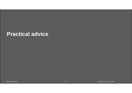#### **Practical advice**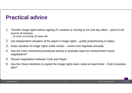# **Practical advice**

- 1. Transfer image rights before signing PL contract or moving to UK (not day after) point of UK source of revenue
	- *.. Or even on turning 18 years old*
- 2.Get independent valuation of the player's image rights – justify proportioning of salary
- 3. Keep valuation of image rights under review review and negotiate annually
- 4. Has the Club monitored promotional activity to evaluate value for money/inform future negotiations?
- 5. Record negotiations between Club and Player
- 6. Has the Clubs intentions to exploit the image rights been noted at board level Club's business plan?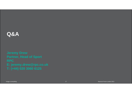### **Q&A**

**Jeremy Drew Partner, Head of Sport RPCE: jeremy.drew@rpc.co.uk T: (+44) 020 3060 6125**